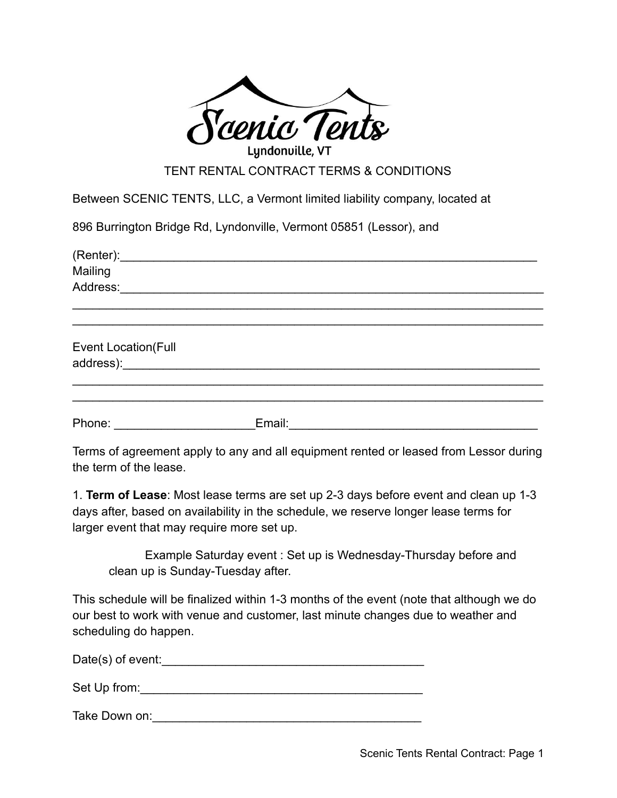

TENT RENTAL CONTRACT TERMS & CONDITIONS

Between SCENIC TENTS, LLC, a Vermont limited liability company, located at

896 Burrington Bridge Rd, Lyndonville, Vermont 05851 (Lessor), and

| Mailing                    |        |  |
|----------------------------|--------|--|
| Address:                   |        |  |
|                            |        |  |
| <b>Event Location(Full</b> |        |  |
|                            |        |  |
| Phone:                     | Email: |  |

Terms of agreement apply to any and all equipment rented or leased from Lessor during the term of the lease.

1. **Term of Lease**: Most lease terms are set up 2-3 days before event and clean up 1-3 days after, based on availability in the schedule, we reserve longer lease terms for larger event that may require more set up.

Example Saturday event : Set up is Wednesday-Thursday before and clean up is Sunday-Tuesday after.

This schedule will be finalized within 1-3 months of the event (note that although we do our best to work with venue and customer, last minute changes due to weather and scheduling do happen.

Date(s) of event:

Set Up from: which is a set of the set of the set of the set of the set of the set of the set of the set of the set of the set of the set of the set of the set of the set of the set of the set of the set of the set of the

Take Down on:\_\_\_\_\_\_\_\_\_\_\_\_\_\_\_\_\_\_\_\_\_\_\_\_\_\_\_\_\_\_\_\_\_\_\_\_\_\_\_\_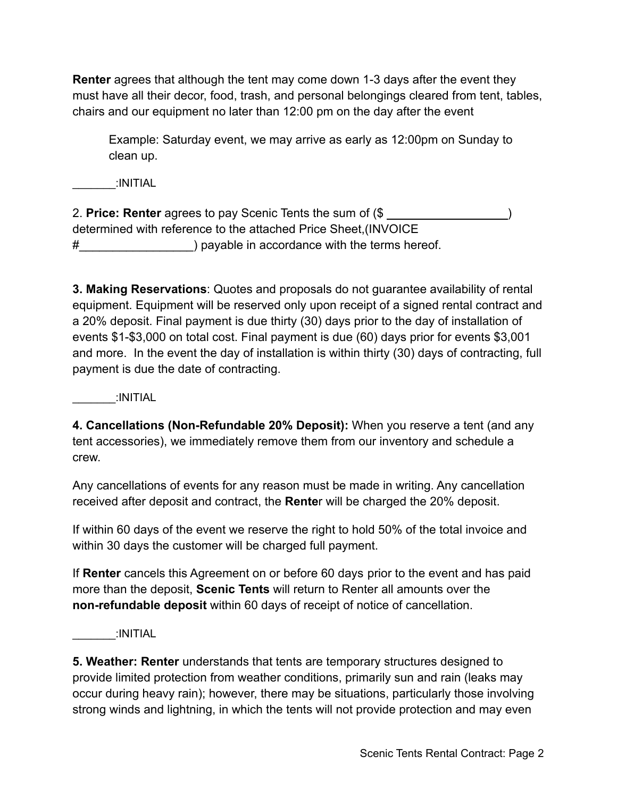**Renter** agrees that although the tent may come down 1-3 days after the event they must have all their decor, food, trash, and personal belongings cleared from tent, tables, chairs and our equipment no later than 12:00 pm on the day after the event

Example: Saturday event, we may arrive as early as 12:00pm on Sunday to clean up.

 $\blacksquare$ INITIAL

2. **Price: Renter** agrees to pay Scenic Tents the sum of (\$ ) determined with reference to the attached Price Sheet,(INVOICE #\_\_\_\_\_\_\_\_\_\_\_\_\_\_\_\_\_) payable in accordance with the terms hereof.

**3. Making Reservations**: Quotes and proposals do not guarantee availability of rental equipment. Equipment will be reserved only upon receipt of a signed rental contract and a 20% deposit. Final payment is due thirty (30) days prior to the day of installation of events \$1-\$3,000 on total cost. Final payment is due (60) days prior for events \$3,001 and more. In the event the day of installation is within thirty (30) days of contracting, full payment is due the date of contracting.

 $:$ INITIAL

**4. Cancellations (Non-Refundable 20% Deposit):** When you reserve a tent (and any tent accessories), we immediately remove them from our inventory and schedule a crew.

Any cancellations of events for any reason must be made in writing. Any cancellation received after deposit and contract, the **Rente**r will be charged the 20% deposit.

If within 60 days of the event we reserve the right to hold 50% of the total invoice and within 30 days the customer will be charged full payment.

If **Renter** cancels this Agreement on or before 60 days prior to the event and has paid more than the deposit, **Scenic Tents** will return to Renter all amounts over the **non-refundable deposit** within 60 days of receipt of notice of cancellation.

 $\blacksquare$ INITIAL

**5. Weather: Renter** understands that tents are temporary structures designed to provide limited protection from weather conditions, primarily sun and rain (leaks may occur during heavy rain); however, there may be situations, particularly those involving strong winds and lightning, in which the tents will not provide protection and may even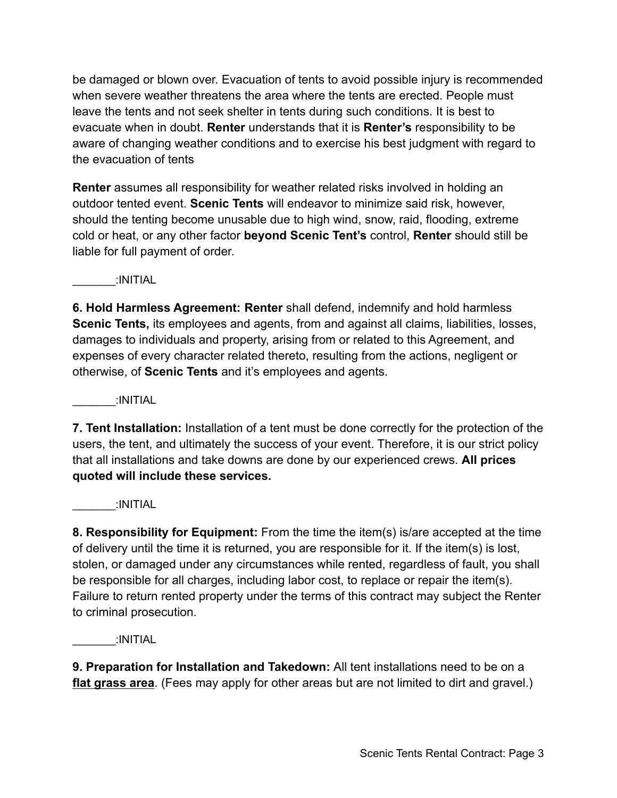be damaged or blown over. Evacuation of tents to avoid possible injury is recommended when severe weather threatens the area where the tents are erected. People must leave the tents and not seek shelter in tents during such conditions. It is best to evacuate when in doubt. **Renter** understands that it is **Renter's** responsibility to be aware of changing weather conditions and to exercise his best judgment with regard to the evacuation of tents

**Renter** assumes all responsibility for weather related risks involved in holding an outdoor tented event. **Scenic Tents** will endeavor to minimize said risk, however, should the tenting become unusable due to high wind, snow, raid, flooding, extreme cold or heat, or any other factor **beyond Scenic Tent's** control, **Renter** should still be liable for full payment of order.

 $:$ INITIAL

**6. Hold Harmless Agreement: Renter** shall defend, indemnify and hold harmless **Scenic Tents,** its employees and agents, from and against all claims, liabilities, losses, damages to individuals and property, arising from or related to this Agreement, and expenses of every character related thereto, resulting from the actions, negligent or otherwise, of **Scenic Tents** and it's employees and agents.

 $:$ INITIAL

**7. Tent Installation:** Installation of a tent must be done correctly for the protection of the users, the tent, and ultimately the success of your event. Therefore, it is our strict policy that all installations and take downs are done by our experienced crews. **All prices quoted will include these services.**

 $:$ INITIAL

**8. Responsibility for Equipment:** From the time the item(s) is/are accepted at the time of delivery until the time it is returned, you are responsible for it. If the item(s) is lost, stolen, or damaged under any circumstances while rented, regardless of fault, you shall be responsible for all charges, including labor cost, to replace or repair the item(s). Failure to return rented property under the terms of this contract may subject the Renter to criminal prosecution.

 $\cdot$ INITIAL

**9. Preparation for Installation and Takedown:** All tent installations need to be on a **flat grass area**. (Fees may apply for other areas but are not limited to dirt and gravel.)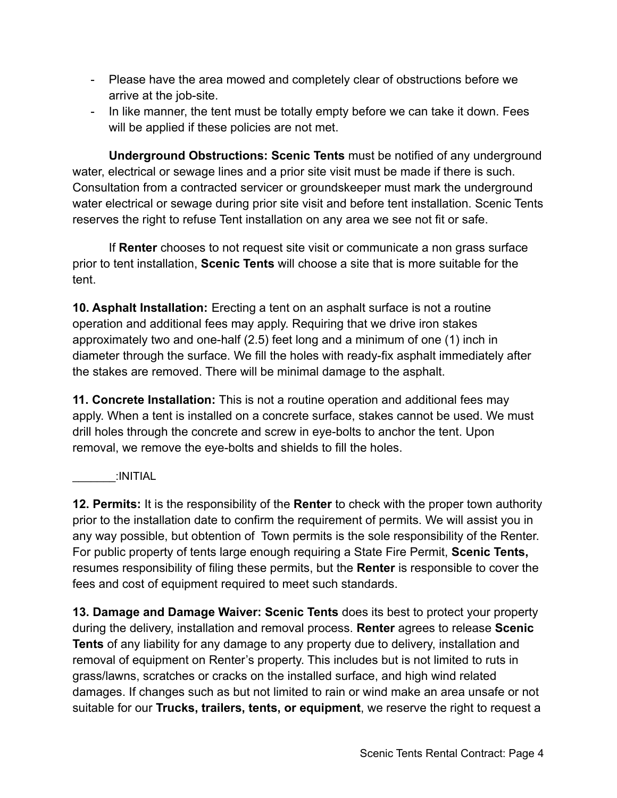- Please have the area mowed and completely clear of obstructions before we arrive at the job-site.
- In like manner, the tent must be totally empty before we can take it down. Fees will be applied if these policies are not met.

**Underground Obstructions: Scenic Tents** must be notified of any underground water, electrical or sewage lines and a prior site visit must be made if there is such. Consultation from a contracted servicer or groundskeeper must mark the underground water electrical or sewage during prior site visit and before tent installation. Scenic Tents reserves the right to refuse Tent installation on any area we see not fit or safe.

If **Renter** chooses to not request site visit or communicate a non grass surface prior to tent installation, **Scenic Tents** will choose a site that is more suitable for the tent.

**10. Asphalt Installation:** Erecting a tent on an asphalt surface is not a routine operation and additional fees may apply. Requiring that we drive iron stakes approximately two and one-half (2.5) feet long and a minimum of one (1) inch in diameter through the surface. We fill the holes with ready-fix asphalt immediately after the stakes are removed. There will be minimal damage to the asphalt.

**11. Concrete Installation:** This is not a routine operation and additional fees may apply. When a tent is installed on a concrete surface, stakes cannot be used. We must drill holes through the concrete and screw in eye-bolts to anchor the tent. Upon removal, we remove the eye-bolts and shields to fill the holes.

 $\therefore$ INITIAL

**12. Permits:** It is the responsibility of the **Renter** to check with the proper town authority prior to the installation date to confirm the requirement of permits. We will assist you in any way possible, but obtention of Town permits is the sole responsibility of the Renter. For public property of tents large enough requiring a State Fire Permit, **Scenic Tents,** resumes responsibility of filing these permits, but the **Renter** is responsible to cover the fees and cost of equipment required to meet such standards.

**13. Damage and Damage Waiver: Scenic Tents** does its best to protect your property during the delivery, installation and removal process. **Renter** agrees to release **Scenic Tents** of any liability for any damage to any property due to delivery, installation and removal of equipment on Renter's property. This includes but is not limited to ruts in grass/lawns, scratches or cracks on the installed surface, and high wind related damages. If changes such as but not limited to rain or wind make an area unsafe or not suitable for our **Trucks, trailers, tents, or equipment**, we reserve the right to request a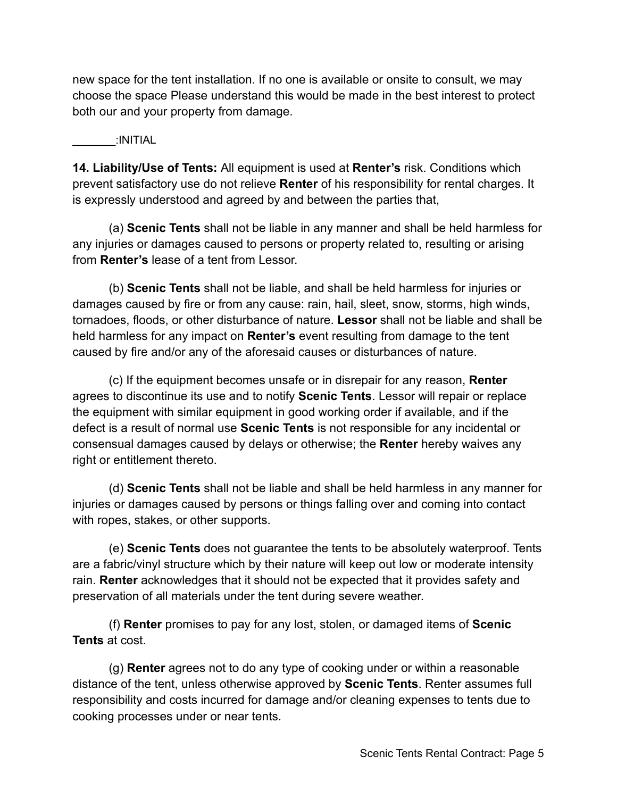new space for the tent installation. If no one is available or onsite to consult, we may choose the space Please understand this would be made in the best interest to protect both our and your property from damage.

## $\blacksquare$

**14. Liability/Use of Tents:** All equipment is used at **Renter's** risk. Conditions which prevent satisfactory use do not relieve **Renter** of his responsibility for rental charges. It is expressly understood and agreed by and between the parties that,

(a) **Scenic Tents** shall not be liable in any manner and shall be held harmless for any injuries or damages caused to persons or property related to, resulting or arising from **Renter's** lease of a tent from Lessor.

(b) **Scenic Tents** shall not be liable, and shall be held harmless for injuries or damages caused by fire or from any cause: rain, hail, sleet, snow, storms, high winds, tornadoes, floods, or other disturbance of nature. **Lessor** shall not be liable and shall be held harmless for any impact on **Renter's** event resulting from damage to the tent caused by fire and/or any of the aforesaid causes or disturbances of nature.

(c) If the equipment becomes unsafe or in disrepair for any reason, **Renter** agrees to discontinue its use and to notify **Scenic Tents**. Lessor will repair or replace the equipment with similar equipment in good working order if available, and if the defect is a result of normal use **Scenic Tents** is not responsible for any incidental or consensual damages caused by delays or otherwise; the **Renter** hereby waives any right or entitlement thereto.

(d) **Scenic Tents** shall not be liable and shall be held harmless in any manner for injuries or damages caused by persons or things falling over and coming into contact with ropes, stakes, or other supports.

(e) **Scenic Tents** does not guarantee the tents to be absolutely waterproof. Tents are a fabric/vinyl structure which by their nature will keep out low or moderate intensity rain. **Renter** acknowledges that it should not be expected that it provides safety and preservation of all materials under the tent during severe weather.

(f) **Renter** promises to pay for any lost, stolen, or damaged items of **Scenic Tents** at cost.

(g) **Renter** agrees not to do any type of cooking under or within a reasonable distance of the tent, unless otherwise approved by **Scenic Tents**. Renter assumes full responsibility and costs incurred for damage and/or cleaning expenses to tents due to cooking processes under or near tents.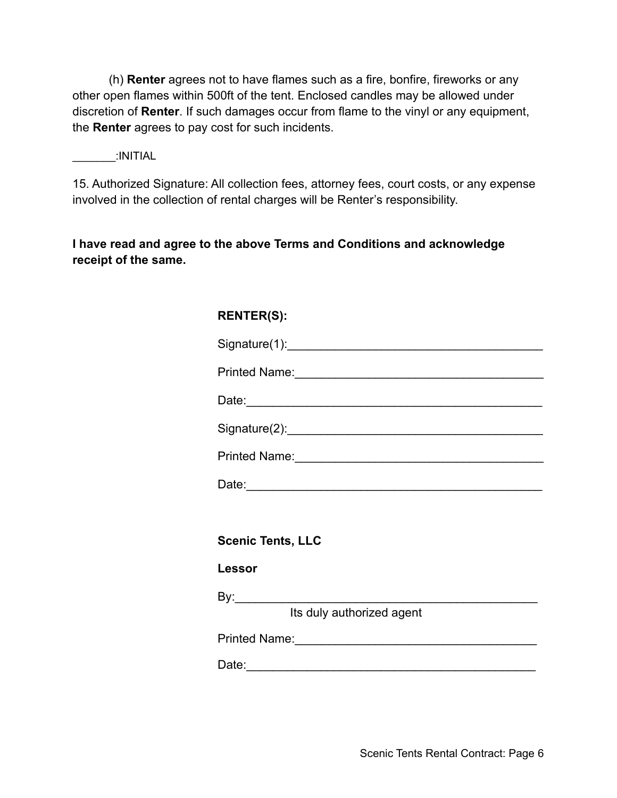(h) **Renter** agrees not to have flames such as a fire, bonfire, fireworks or any other open flames within 500ft of the tent. Enclosed candles may be allowed under discretion of **Renter**. If such damages occur from flame to the vinyl or any equipment, the **Renter** agrees to pay cost for such incidents.

 $:$ INITIAL

15. Authorized Signature: All collection fees, attorney fees, court costs, or any expense involved in the collection of rental charges will be Renter's responsibility.

**I have read and agree to the above Terms and Conditions and acknowledge receipt of the same.**

| <b>RENTER(S):</b>                                                                                                                                                                                                              |
|--------------------------------------------------------------------------------------------------------------------------------------------------------------------------------------------------------------------------------|
|                                                                                                                                                                                                                                |
| Printed Name:<br><u> </u>                                                                                                                                                                                                      |
|                                                                                                                                                                                                                                |
|                                                                                                                                                                                                                                |
| Printed Name: 1988 and 2008 and 2010 and 2010 and 2010 and 2010 and 2010 and 2010 and 2010 and 2010 and 2010 and 2010 and 2010 and 2010 and 2010 and 2010 and 2010 and 2010 and 2010 and 2010 and 2010 and 2010 and 2010 and 2 |
|                                                                                                                                                                                                                                |
|                                                                                                                                                                                                                                |
| <b>Scenic Tents, LLC</b>                                                                                                                                                                                                       |
| Lessor                                                                                                                                                                                                                         |
|                                                                                                                                                                                                                                |
| Its duly authorized agent                                                                                                                                                                                                      |
|                                                                                                                                                                                                                                |
|                                                                                                                                                                                                                                |
|                                                                                                                                                                                                                                |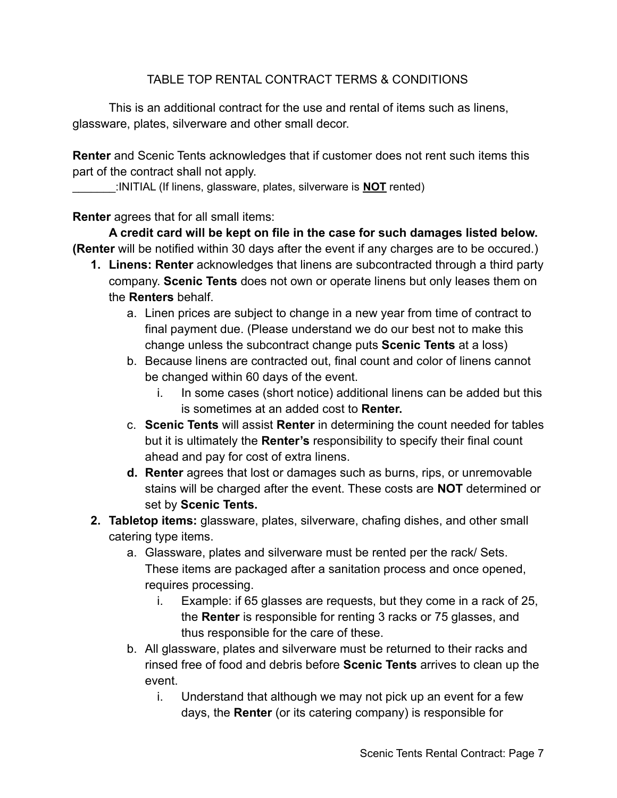## TABLE TOP RENTAL CONTRACT TERMS & CONDITIONS

This is an additional contract for the use and rental of items such as linens, glassware, plates, silverware and other small decor.

**Renter** and Scenic Tents acknowledges that if customer does not rent such items this part of the contract shall not apply.

\_\_\_\_\_\_\_:INITIAL (If linens, glassware, plates, silverware is **NOT** rented)

**Renter** agrees that for all small items:

**A credit card will be kept on file in the case for such damages listed below. (Renter** will be notified within 30 days after the event if any charges are to be occured.)

- **1. Linens: Renter** acknowledges that linens are subcontracted through a third party company. **Scenic Tents** does not own or operate linens but only leases them on the **Renters** behalf.
	- a. Linen prices are subject to change in a new year from time of contract to final payment due. (Please understand we do our best not to make this change unless the subcontract change puts **Scenic Tents** at a loss)
	- b. Because linens are contracted out, final count and color of linens cannot be changed within 60 days of the event.
		- i. In some cases (short notice) additional linens can be added but this is sometimes at an added cost to **Renter.**
	- c. **Scenic Tents** will assist **Renter** in determining the count needed for tables but it is ultimately the **Renter's** responsibility to specify their final count ahead and pay for cost of extra linens.
	- **d. Renter** agrees that lost or damages such as burns, rips, or unremovable stains will be charged after the event. These costs are **NOT** determined or set by **Scenic Tents.**
- **2. Tabletop items:** glassware, plates, silverware, chafing dishes, and other small catering type items.
	- a. Glassware, plates and silverware must be rented per the rack/ Sets. These items are packaged after a sanitation process and once opened, requires processing.
		- i. Example: if 65 glasses are requests, but they come in a rack of 25, the **Renter** is responsible for renting 3 racks or 75 glasses, and thus responsible for the care of these.
	- b. All glassware, plates and silverware must be returned to their racks and rinsed free of food and debris before **Scenic Tents** arrives to clean up the event.
		- i. Understand that although we may not pick up an event for a few days, the **Renter** (or its catering company) is responsible for